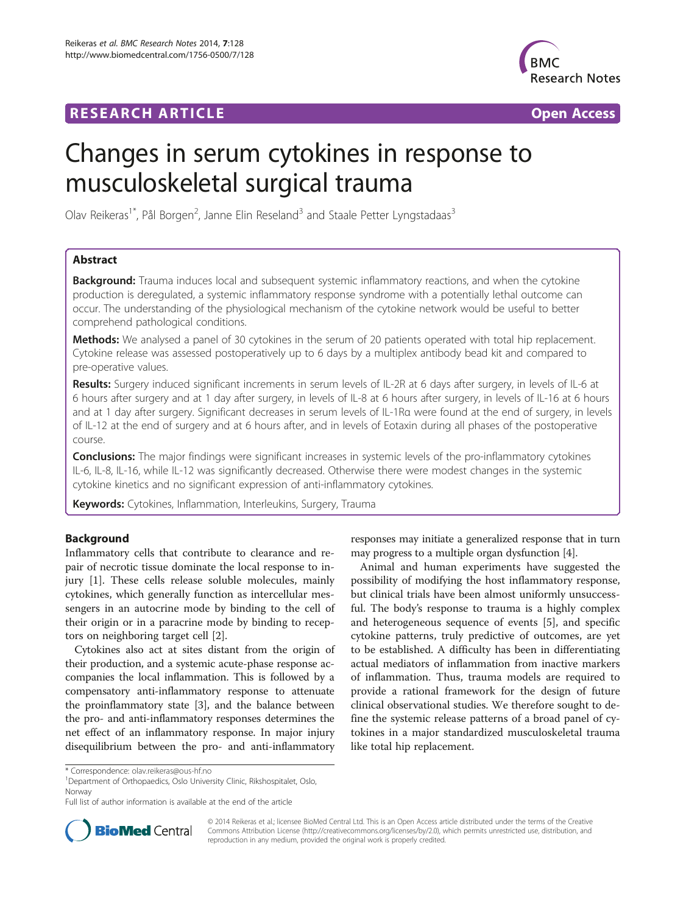## **RESEARCH ARTICLE Example 2014 CONSIDERING A RESEARCH ARTICLE**



# Changes in serum cytokines in response to musculoskeletal surgical trauma

Olav Reikeras<sup>1\*</sup>, Pål Borgen<sup>2</sup>, Janne Elin Reseland<sup>3</sup> and Staale Petter Lyngstadaas<sup>3</sup>

## Abstract

**Background:** Trauma induces local and subsequent systemic inflammatory reactions, and when the cytokine production is deregulated, a systemic inflammatory response syndrome with a potentially lethal outcome can occur. The understanding of the physiological mechanism of the cytokine network would be useful to better comprehend pathological conditions.

Methods: We analysed a panel of 30 cytokines in the serum of 20 patients operated with total hip replacement. Cytokine release was assessed postoperatively up to 6 days by a multiplex antibody bead kit and compared to pre-operative values.

Results: Surgery induced significant increments in serum levels of IL-2R at 6 days after surgery, in levels of IL-6 at 6 hours after surgery and at 1 day after surgery, in levels of IL-8 at 6 hours after surgery, in levels of IL-16 at 6 hours and at 1 day after surgery. Significant decreases in serum levels of IL-1Rα were found at the end of surgery, in levels of IL-12 at the end of surgery and at 6 hours after, and in levels of Eotaxin during all phases of the postoperative course.

**Conclusions:** The major findings were significant increases in systemic levels of the pro-inflammatory cytokines IL-6, IL-8, IL-16, while IL-12 was significantly decreased. Otherwise there were modest changes in the systemic cytokine kinetics and no significant expression of anti-inflammatory cytokines.

Keywords: Cytokines, Inflammation, Interleukins, Surgery, Trauma

## Background

Inflammatory cells that contribute to clearance and repair of necrotic tissue dominate the local response to injury [[1\]](#page-4-0). These cells release soluble molecules, mainly cytokines, which generally function as intercellular messengers in an autocrine mode by binding to the cell of their origin or in a paracrine mode by binding to receptors on neighboring target cell [\[2](#page-4-0)].

Cytokines also act at sites distant from the origin of their production, and a systemic acute-phase response accompanies the local inflammation. This is followed by a compensatory anti-inflammatory response to attenuate the proinflammatory state [[3\]](#page-4-0), and the balance between the pro- and anti-inflammatory responses determines the net effect of an inflammatory response. In major injury disequilibrium between the pro- and anti-inflammatory

<sup>1</sup>Department of Orthopaedics, Oslo University Clinic, Rikshospitalet, Oslo, Norway

Full list of author information is available at the end of the article



responses may initiate a generalized response that in turn may progress to a multiple organ dysfunction [[4\]](#page-4-0).

Animal and human experiments have suggested the possibility of modifying the host inflammatory response, but clinical trials have been almost uniformly unsuccessful. The body's response to trauma is a highly complex and heterogeneous sequence of events [[5](#page-4-0)], and specific cytokine patterns, truly predictive of outcomes, are yet to be established. A difficulty has been in differentiating actual mediators of inflammation from inactive markers of inflammation. Thus, trauma models are required to provide a rational framework for the design of future clinical observational studies. We therefore sought to define the systemic release patterns of a broad panel of cytokines in a major standardized musculoskeletal trauma like total hip replacement.

© 2014 Reikeras et al.; licensee BioMed Central Ltd. This is an Open Access article distributed under the terms of the Creative Commons Attribution License [\(http://creativecommons.org/licenses/by/2.0\)](http://creativecommons.org/licenses/by/2.0), which permits unrestricted use, distribution, and reproduction in any medium, provided the original work is properly credited.

<sup>\*</sup> Correspondence: [olav.reikeras@ous-hf.no](mailto:olav.reikeras@ous-hf.no) <sup>1</sup>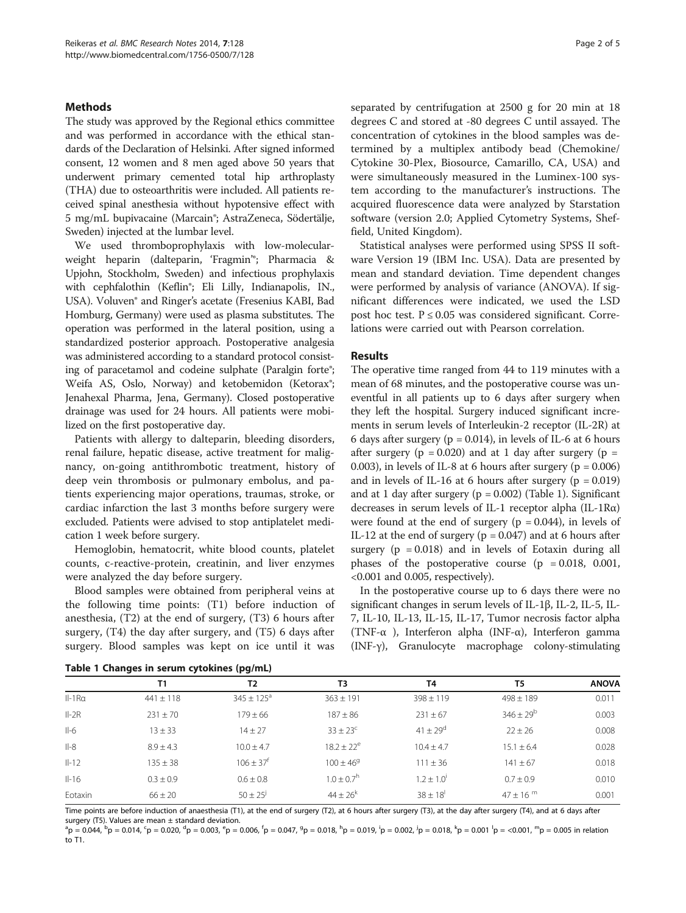## **Methods**

The study was approved by the Regional ethics committee and was performed in accordance with the ethical standards of the Declaration of Helsinki. After signed informed consent, 12 women and 8 men aged above 50 years that underwent primary cemented total hip arthroplasty (THA) due to osteoarthritis were included. All patients received spinal anesthesia without hypotensive effect with 5 mg/mL bupivacaine (Marcain®; AstraZeneca, Södertälje, Sweden) injected at the lumbar level.

We used thromboprophylaxis with low-molecularweight heparin (dalteparin, 'Fragmin'®; Pharmacia & Upjohn, Stockholm, Sweden) and infectious prophylaxis with cephfalothin (Keflin®; Eli Lilly, Indianapolis, IN., USA). Voluven® and Ringer's acetate (Fresenius KABI, Bad Homburg, Germany) were used as plasma substitutes. The operation was performed in the lateral position, using a standardized posterior approach. Postoperative analgesia was administered according to a standard protocol consisting of paracetamol and codeine sulphate (Paralgin forte<sup>®</sup>; Weifa AS, Oslo, Norway) and ketobemidon (Ketorax®; Jenahexal Pharma, Jena, Germany). Closed postoperative drainage was used for 24 hours. All patients were mobilized on the first postoperative day.

Patients with allergy to dalteparin, bleeding disorders, renal failure, hepatic disease, active treatment for malignancy, on-going antithrombotic treatment, history of deep vein thrombosis or pulmonary embolus, and patients experiencing major operations, traumas, stroke, or cardiac infarction the last 3 months before surgery were excluded. Patients were advised to stop antiplatelet medication 1 week before surgery.

Hemoglobin, hematocrit, white blood counts, platelet counts, c-reactive-protein, creatinin, and liver enzymes were analyzed the day before surgery.

Blood samples were obtained from peripheral veins at the following time points: (T1) before induction of anesthesia, (T2) at the end of surgery, (T3) 6 hours after surgery, (T4) the day after surgery, and (T5) 6 days after surgery. Blood samples was kept on ice until it was separated by centrifugation at 2500 g for 20 min at 18 degrees C and stored at -80 degrees C until assayed. The concentration of cytokines in the blood samples was determined by a multiplex antibody bead (Chemokine/ Cytokine 30-Plex, Biosource, Camarillo, CA, USA) and were simultaneously measured in the Luminex-100 system according to the manufacturer's instructions. The acquired fluorescence data were analyzed by Starstation software (version 2.0; Applied Cytometry Systems, Sheffield, United Kingdom).

Statistical analyses were performed using SPSS II software Version 19 (IBM Inc. USA). Data are presented by mean and standard deviation. Time dependent changes were performed by analysis of variance (ANOVA). If significant differences were indicated, we used the LSD post hoc test.  $P \le 0.05$  was considered significant. Correlations were carried out with Pearson correlation.

## Results

The operative time ranged from 44 to 119 minutes with a mean of 68 minutes, and the postoperative course was uneventful in all patients up to 6 days after surgery when they left the hospital. Surgery induced significant increments in serum levels of Interleukin-2 receptor (IL-2R) at 6 days after surgery ( $p = 0.014$ ), in levels of IL-6 at 6 hours after surgery ( $p = 0.020$ ) and at 1 day after surgery ( $p =$ 0.003), in levels of IL-8 at 6 hours after surgery ( $p = 0.006$ ) and in levels of IL-16 at 6 hours after surgery  $(p = 0.019)$ and at 1 day after surgery ( $p = 0.002$ ) (Table 1). Significant decreases in serum levels of IL-1 receptor alpha (IL-1Rα) were found at the end of surgery ( $p = 0.044$ ), in levels of IL-12 at the end of surgery ( $p = 0.047$ ) and at 6 hours after surgery  $(p = 0.018)$  and in levels of Eotaxin during all phases of the postoperative course  $(p = 0.018, 0.001,$ <0.001 and 0.005, respectively).

In the postoperative course up to 6 days there were no significant changes in serum levels of IL-1β, IL-2, IL-5, IL-7, IL-10, IL-13, IL-15, IL-17, Tumor necrosis factor alpha (TNF-α ), Interferon alpha (INF-α), Interferon gamma (INF-γ), Granulocyte macrophage colony-stimulating

|  |  |  |  |  | Table 1 Changes in serum cytokines (pg/mL) |  |
|--|--|--|--|--|--------------------------------------------|--|
|--|--|--|--|--|--------------------------------------------|--|

|          | <b>T1</b>     | T2                       | T3                         | T <sub>4</sub>             | T5               | <b>ANOVA</b> |
|----------|---------------|--------------------------|----------------------------|----------------------------|------------------|--------------|
| $II-1Ra$ | $441 \pm 118$ | $345 + 125$ <sup>a</sup> | $363 \pm 191$              | $398 \pm 119$              | $498 \pm 189$    | 0.011        |
| $II-2R$  | $231 \pm 70$  | $179 \pm 66$             | $187 \pm 86$               | $231 \pm 67$               | $346 \pm 29^{b}$ | 0.003        |
| $II-6$   | $13 \pm 33$   | $14 + 27$                | $33 + 23^c$                | $41 + 29^d$                | $22 \pm 26$      | 0.008        |
| $II-8$   | $8.9 + 4.3$   | $10.0 + 4.7$             | $18.2 \pm 22^e$            | $10.4 + 4.7$               | $15.1 \pm 6.4$   | 0.028        |
| $II-12$  | $135 \pm 38$  | $106 + 37$ <sup>t</sup>  | $100 + 46^9$               | $111 \pm 36$               | $141 \pm 67$     | 0.018        |
| $II-16$  | $0.3 + 0.9$   | $0.6 + 0.8$              | $1.0 \pm 0.7$ <sup>h</sup> | $1.2 \pm 1.0$ <sup>t</sup> | $0.7 \pm 0.9$    | 0.010        |
| Eotaxin  | $66 \pm 20$   | $50 \pm 25^{j}$          | $44 + 26^{k}$              | $38 \pm 18$ <sup>1</sup>   | $47 + 16^{m}$    | 0.001        |

Time points are before induction of anaesthesia (T1), at the end of surgery (T2), at 6 hours after surgery (T3), at the day after surgery (T4), and at 6 days after surgery (T5). Values are mean  $\pm$  standard deviation.

 ${}^{a}p = 0.044, {}^{b}p = 0.014, {}^{c}p = 0.020, {}^{d}p = 0.003, {}^{e}p = 0.006, {}^{f}p = 0.047, {}^{g}p = 0.018, {}^{h}p = 0.019, {}^{i}p = 0.002, {}^{j}p = 0.018, {}^{k}p = 0.001, {}^{l}p = <0.001, {}^{l}p = <0.001, {}^{l}p = 0.001, {}^{l}p = 0.001, {}^{l}p = 0.001, {}^{l}p = 0.001$ to T1.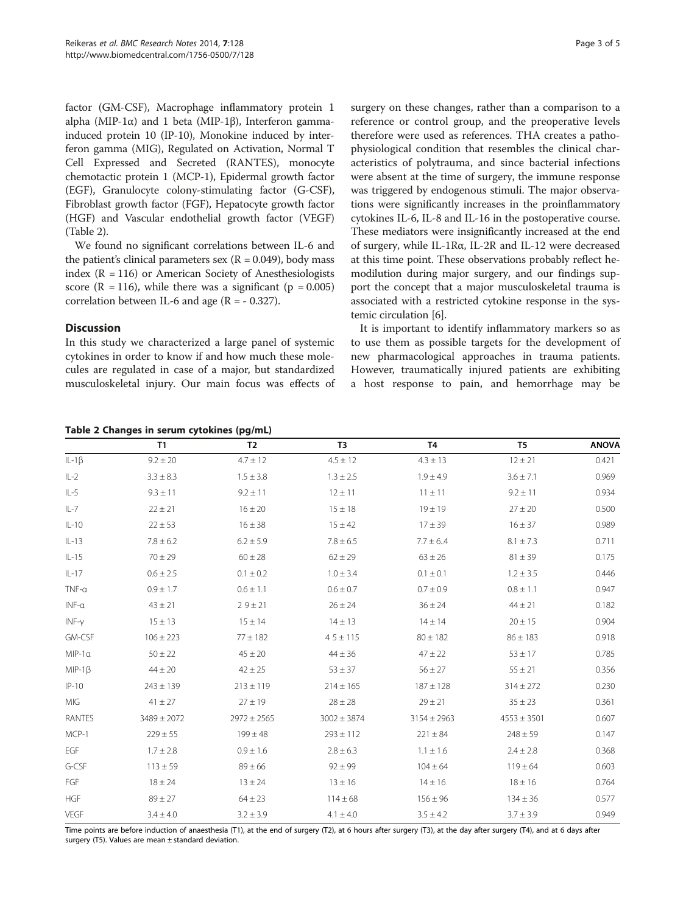factor (GM-CSF), Macrophage inflammatory protein 1 alpha (MIP-1α) and 1 beta (MIP-1β), Interferon gammainduced protein 10 (IP-10), Monokine induced by interferon gamma (MIG), Regulated on Activation, Normal T Cell Expressed and Secreted (RANTES), monocyte chemotactic protein 1 (MCP-1), Epidermal growth factor (EGF), Granulocyte colony-stimulating factor (G-CSF), Fibroblast growth factor (FGF), Hepatocyte growth factor (HGF) and Vascular endothelial growth factor (VEGF) (Table 2).

We found no significant correlations between IL-6 and the patient's clinical parameters sex ( $R = 0.049$ ), body mass index  $(R = 116)$  or American Society of Anesthesiologists score ( $R = 116$ ), while there was a significant ( $p = 0.005$ ) correlation between IL-6 and age  $(R = -0.327)$ .

## **Discussion**

In this study we characterized a large panel of systemic cytokines in order to know if and how much these molecules are regulated in case of a major, but standardized musculoskeletal injury. Our main focus was effects of surgery on these changes, rather than a comparison to a reference or control group, and the preoperative levels therefore were used as references. THA creates a pathophysiological condition that resembles the clinical characteristics of polytrauma, and since bacterial infections were absent at the time of surgery, the immune response was triggered by endogenous stimuli. The major observations were significantly increases in the proinflammatory cytokines IL-6, IL-8 and IL-16 in the postoperative course. These mediators were insignificantly increased at the end of surgery, while IL-1Rα, IL-2R and IL-12 were decreased at this time point. These observations probably reflect hemodilution during major surgery, and our findings support the concept that a major musculoskeletal trauma is associated with a restricted cytokine response in the systemic circulation [\[6\]](#page-4-0).

It is important to identify inflammatory markers so as to use them as possible targets for the development of new pharmacological approaches in trauma patients. However, traumatically injured patients are exhibiting a host response to pain, and hemorrhage may be

|              | <b>T1</b>       | T <sub>2</sub>  | T <sub>3</sub>  | T <sub>4</sub>  | T <sub>5</sub>  | <b>ANOVA</b> |
|--------------|-----------------|-----------------|-----------------|-----------------|-----------------|--------------|
| $IL-1\beta$  | $9.2 \pm 20$    | $4.7 \pm 12$    | $4.5 \pm 12$    | $4.3 \pm 13$    | $12 \pm 21$     | 0.421        |
| $IL-2$       | $3.3 \pm 8.3$   | $1.5 \pm 3.8$   | $1.3 \pm 2.5$   | $1.9 \pm 4.9$   | $3.6 \pm 7.1$   | 0.969        |
| $IL-5$       | $9.3 \pm 11$    | $9.2 \pm 11$    | $12 \pm 11$     | $11 \pm 11$     | $9.2 \pm 11$    | 0.934        |
| $IL-7$       | $22 \pm 21$     | $16 \pm 20$     | $15 \pm 18$     | $19 \pm 19$     | $27 \pm 20$     | 0.500        |
| $IL-10$      | $22 \pm 53$     | $16 \pm 38$     | $15 \pm 42$     | $17 \pm 39$     | $16 \pm 37$     | 0.989        |
| $IL-13$      | $7.8 \pm 6.2$   | $6.2 \pm 5.9$   | $7.8 \pm 6.5$   | $7.7 \pm 6.4$   | $8.1 \pm 7.3$   | 0.711        |
| $IL-15$      | $70 \pm 29$     | $60 \pm 28$     | $62 \pm 29$     | $63 \pm 26$     | $81 \pm 39$     | 0.175        |
| $IL-17$      | $0.6 \pm 2.5$   | $0.1 \pm 0.2$   | $1.0 \pm 3.4$   | $0.1 \pm 0.1$   | $1.2 \pm 3.5$   | 0.446        |
| $TNF-\alpha$ | $0.9 \pm 1.7$   | $0.6 \pm 1.1$   | $0.6 \pm 0.7$   | $0.7 \pm 0.9$   | $0.8 \pm 1.1$   | 0.947        |
| $INF-\alpha$ | $43 \pm 21$     | $29 \pm 21$     | $26 \pm 24$     | $36 \pm 24$     | $44 \pm 21$     | 0.182        |
| INF-y        | $15 \pm 13$     | $15 \pm 14$     | $14 \pm 13$     | $14 \pm 14$     | $20 \pm 15$     | 0.904        |
| GM-CSF       | $106 \pm 223$   | $77 \pm 182$    | $45 \pm 115$    | $80 \pm 182$    | $86 \pm 183$    | 0.918        |
| $MIP-1a$     | $50 \pm 22$     | $45 \pm 20$     | $44 \pm 36$     | $47 \pm 22$     | $53 \pm 17$     | 0.785        |
| $MIP-1\beta$ | $44 \pm 20$     | $42 \pm 25$     | $53 \pm 37$     | $56 \pm 27$     | $55 \pm 21$     | 0.356        |
| $IP-10$      | $243 \pm 139$   | $213 \pm 119$   | $214 \pm 165$   | $187 \pm 128$   | $314 \pm 272$   | 0.230        |
| MIG          | $41 \pm 27$     | $27 \pm 19$     | $28 \pm 28$     | $29 \pm 21$     | $35 \pm 23$     | 0.361        |
| RANTES       | $3489 \pm 2072$ | $2972 \pm 2565$ | $3002 \pm 3874$ | $3154 \pm 2963$ | $4553 \pm 3501$ | 0.607        |
| MCP-1        | $229 \pm 55$    | $199 \pm 48$    | $293 \pm 112$   | $221 \pm 84$    | $248 \pm 59$    | 0.147        |
| EGF          | $1.7 \pm 2.8$   | $0.9 \pm 1.6$   | $2.8 \pm 6.3$   | $1.1 \pm 1.6$   | $2.4 \pm 2.8$   | 0.368        |
| G-CSF        | $113 \pm 59$    | $89 \pm 66$     | $92 \pm 99$     | $104 \pm 64$    | $119 \pm 64$    | 0.603        |
| FGF          | $18 \pm 24$     | $13 \pm 24$     | $13 \pm 16$     | $14 \pm 16$     | $18 \pm 16$     | 0.764        |
| <b>HGF</b>   | $89 \pm 27$     | $64 \pm 23$     | $114 \pm 68$    | $156 \pm 96$    | $134 \pm 36$    | 0.577        |
| VEGF         | $3.4 \pm 4.0$   | $3.2 \pm 3.9$   | $4.1 \pm 4.0$   | $3.5 \pm 4.2$   | $3.7 \pm 3.9$   | 0.949        |

Time points are before induction of anaesthesia (T1), at the end of surgery (T2), at 6 hours after surgery (T3), at the day after surgery (T4), and at 6 days after surgery (T5). Values are mean  $\pm$  standard deviation.

## Table 2 Changes in serum cytokines (pg/mL)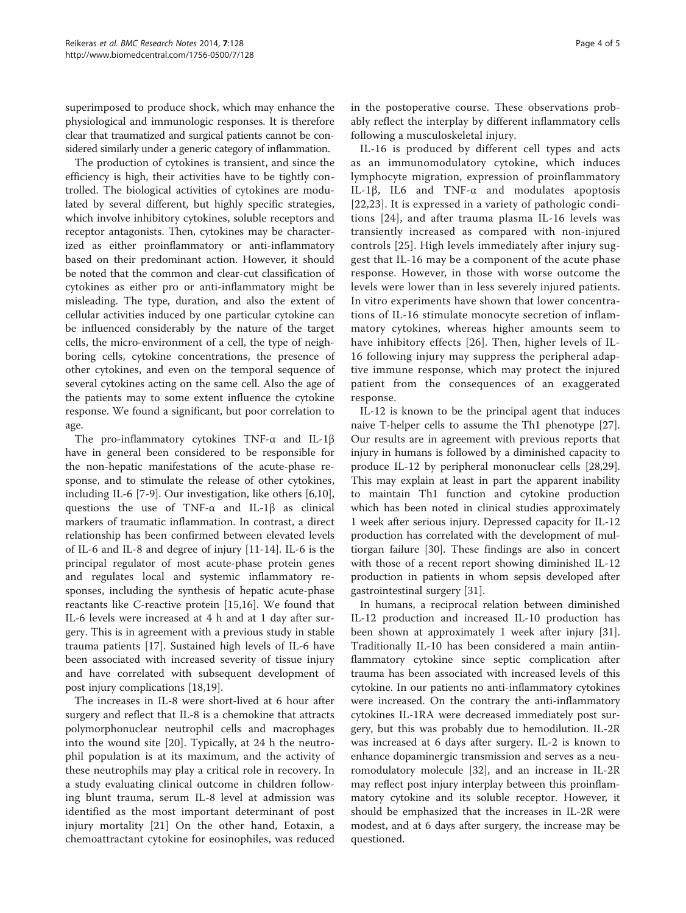superimposed to produce shock, which may enhance the physiological and immunologic responses. It is therefore clear that traumatized and surgical patients cannot be considered similarly under a generic category of inflammation.

The production of cytokines is transient, and since the efficiency is high, their activities have to be tightly controlled. The biological activities of cytokines are modulated by several different, but highly specific strategies, which involve inhibitory cytokines, soluble receptors and receptor antagonists. Then, cytokines may be characterized as either proinflammatory or anti-inflammatory based on their predominant action. However, it should be noted that the common and clear-cut classification of cytokines as either pro or anti-inflammatory might be misleading. The type, duration, and also the extent of cellular activities induced by one particular cytokine can be influenced considerably by the nature of the target cells, the micro-environment of a cell, the type of neighboring cells, cytokine concentrations, the presence of other cytokines, and even on the temporal sequence of several cytokines acting on the same cell. Also the age of the patients may to some extent influence the cytokine response. We found a significant, but poor correlation to age.

The pro-inflammatory cytokines TNF-α and IL-1β have in general been considered to be responsible for the non-hepatic manifestations of the acute-phase response, and to stimulate the release of other cytokines, including IL-6 [\[7](#page-4-0)-[9\]](#page-4-0). Our investigation, like others [\[6,10](#page-4-0)], questions the use of TNF-α and IL-1β as clinical markers of traumatic inflammation. In contrast, a direct relationship has been confirmed between elevated levels of IL-6 and IL-8 and degree of injury [\[11-14](#page-4-0)]. IL-6 is the principal regulator of most acute-phase protein genes and regulates local and systemic inflammatory responses, including the synthesis of hepatic acute-phase reactants like C-reactive protein [[15,16\]](#page-4-0). We found that IL-6 levels were increased at 4 h and at 1 day after surgery. This is in agreement with a previous study in stable trauma patients [[17\]](#page-4-0). Sustained high levels of IL-6 have been associated with increased severity of tissue injury and have correlated with subsequent development of post injury complications [[18](#page-4-0),[19](#page-4-0)].

The increases in IL-8 were short-lived at 6 hour after surgery and reflect that IL-8 is a chemokine that attracts polymorphonuclear neutrophil cells and macrophages into the wound site [\[20](#page-4-0)]. Typically, at 24 h the neutrophil population is at its maximum, and the activity of these neutrophils may play a critical role in recovery. In a study evaluating clinical outcome in children following blunt trauma, serum IL-8 level at admission was identified as the most important determinant of post injury mortality [[21\]](#page-4-0) On the other hand, Eotaxin, a chemoattractant cytokine for eosinophiles, was reduced in the postoperative course. These observations probably reflect the interplay by different inflammatory cells following a musculoskeletal injury.

IL-16 is produced by different cell types and acts as an immunomodulatory cytokine, which induces lymphocyte migration, expression of proinflammatory IL-1β, IL6 and TNF-α and modulates apoptosis [[22](#page-4-0),[23\]](#page-4-0). It is expressed in a variety of pathologic conditions [[24\]](#page-4-0), and after trauma plasma IL-16 levels was transiently increased as compared with non-injured controls [[25](#page-4-0)]. High levels immediately after injury suggest that IL-16 may be a component of the acute phase response. However, in those with worse outcome the levels were lower than in less severely injured patients. In vitro experiments have shown that lower concentrations of IL-16 stimulate monocyte secretion of inflammatory cytokines, whereas higher amounts seem to have inhibitory effects [[26\]](#page-4-0). Then, higher levels of IL-16 following injury may suppress the peripheral adaptive immune response, which may protect the injured patient from the consequences of an exaggerated response.

IL-12 is known to be the principal agent that induces naive T-helper cells to assume the Th1 phenotype [\[27](#page-4-0)]. Our results are in agreement with previous reports that injury in humans is followed by a diminished capacity to produce IL-12 by peripheral mononuclear cells [\[28,29](#page-4-0)]. This may explain at least in part the apparent inability to maintain Th1 function and cytokine production which has been noted in clinical studies approximately 1 week after serious injury. Depressed capacity for IL-12 production has correlated with the development of multiorgan failure [[30\]](#page-4-0). These findings are also in concert with those of a recent report showing diminished IL-12 production in patients in whom sepsis developed after gastrointestinal surgery [\[31\]](#page-4-0).

In humans, a reciprocal relation between diminished IL-12 production and increased IL-10 production has been shown at approximately 1 week after injury [\[31](#page-4-0)]. Traditionally IL-10 has been considered a main antiinflammatory cytokine since septic complication after trauma has been associated with increased levels of this cytokine. In our patients no anti-inflammatory cytokines were increased. On the contrary the anti-inflammatory cytokines IL-1RA were decreased immediately post surgery, but this was probably due to hemodilution. IL-2R was increased at 6 days after surgery. IL-2 is known to enhance dopaminergic transmission and serves as a neuromodulatory molecule [\[32](#page-4-0)], and an increase in IL-2R may reflect post injury interplay between this proinflammatory cytokine and its soluble receptor. However, it should be emphasized that the increases in IL-2R were modest, and at 6 days after surgery, the increase may be questioned.